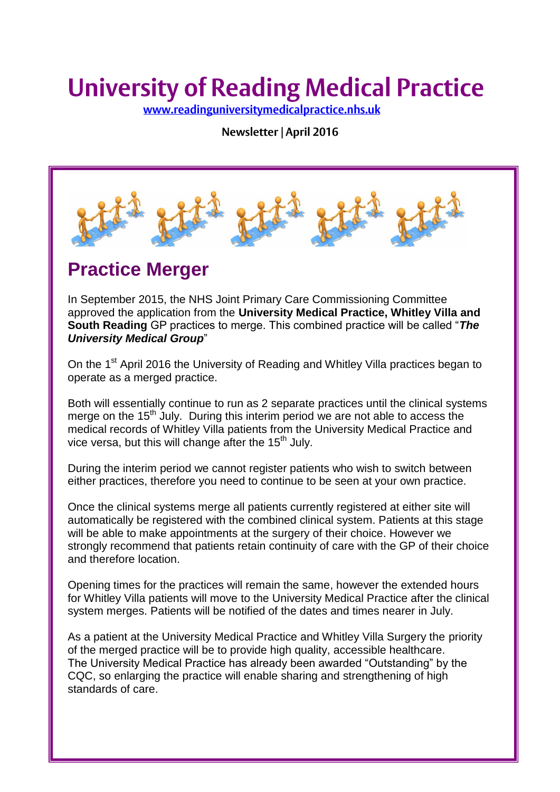# **University of Reading Medical Practice**

www.readinguniversitymedicalpractice.nhs.uk

Newsletter | April 2016



## **Practice Merger**

In September 2015, the NHS Joint Primary Care Commissioning Committee approved the application from the **University Medical Practice, Whitley Villa and South Reading** GP practices to merge. This combined practice will be called "*The University Medical Group*"

On the 1<sup>st</sup> April 2016 the University of Reading and Whitley Villa practices began to operate as a merged practice.

Both will essentially continue to run as 2 separate practices until the clinical systems merge on the  $15<sup>th</sup>$  July. During this interim period we are not able to access the medical records of Whitley Villa patients from the University Medical Practice and vice versa, but this will change after the  $15<sup>th</sup>$  July.

During the interim period we cannot register patients who wish to switch between either practices, therefore you need to continue to be seen at your own practice.

Once the clinical systems merge all patients currently registered at either site will automatically be registered with the combined clinical system. Patients at this stage will be able to make appointments at the surgery of their choice. However we strongly recommend that patients retain continuity of care with the GP of their choice and therefore location.

Opening times for the practices will remain the same, however the extended hours for Whitley Villa patients will move to the University Medical Practice after the clinical system merges. Patients will be notified of the dates and times nearer in July.

As a patient at the University Medical Practice and Whitley Villa Surgery the priority of the merged practice will be to provide high quality, accessible healthcare. The University Medical Practice has already been awarded "Outstanding" by the CQC, so enlarging the practice will enable sharing and strengthening of high standards of care.